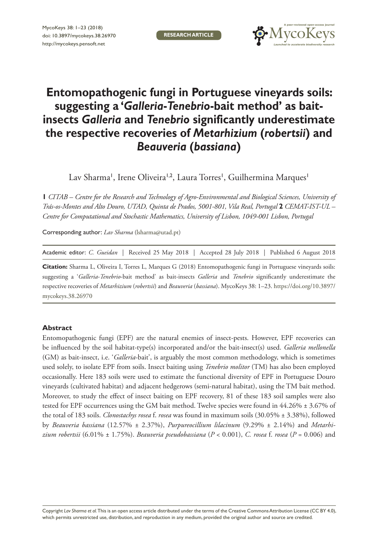**RESEARCH ARTICLE**



# **Entomopathogenic fungi in Portuguese vineyards soils: suggesting a '***Galleria***-***Tenebrio***-bait method' as baitinsects** *Galleria* **and** *Tenebrio* **significantly underestimate the respective recoveries of** *Metarhizium* **(***robertsii***) and**  *Beauveria* **(***bassiana***)**

Lav Sharma', Irene Oliveira'<sup>,2</sup>, Laura Torres', Guilhermina Marques'

**1** *CITAB – Centre for the Research and Technology of Agro-Environmental and Biological Sciences, University of Trás-os-Montes and Alto Douro, UTAD, Quinta de Prados, 5001-801, Vila Real, Portugal* **2** *CEMAT-IST-UL – Centre for Computational and Stochastic Mathematics, University of Lisbon, 1049-001 Lisbon, Portugal*

Corresponding author: *Lav Sharma* [\(lsharma@utad.pt](mailto:lsharma@utad.pt))

Academic editor: *C. Gueidan* | Received 25 May 2018 | Accepted 28 July 2018 | Published 6 August 2018

**Citation:** Sharma L, Oliveira I, Torres L, Marques G (2018) Entomopathogenic fungi in Portuguese vineyards soils: suggesting a '*Galleria*-*Tenebrio*-bait method' as bait-insects *Galleria* and *Tenebrio* significantly underestimate the respective recoveries of *Metarhizium* (*robertsii*) and *Beauveria* (*bassiana*). MycoKeys 38: 1–23. [https://doi.org/10.3897/](https://doi.org/10.3897/mycokeys.38.26970) [mycokeys.38.26970](https://doi.org/10.3897/mycokeys.38.26970)

#### **Abstract**

Entomopathogenic fungi (EPF) are the natural enemies of insect-pests. However, EPF recoveries can be influenced by the soil habitat-type(s) incorporated and/or the bait-insect(s) used. *Galleria mellonella* (GM) as bait-insect, i.e. '*Galleria*-bait', is arguably the most common methodology, which is sometimes used solely, to isolate EPF from soils. Insect baiting using *Tenebrio molitor* (TM) has also been employed occasionally. Here 183 soils were used to estimate the functional diversity of EPF in Portuguese Douro vineyards (cultivated habitat) and adjacent hedgerows (semi-natural habitat), using the TM bait method. Moreover, to study the effect of insect baiting on EPF recovery, 81 of these 183 soil samples were also tested for EPF occurrences using the GM bait method. Twelve species were found in 44.26% ± 3.67% of the total of 183 soils. *Clonostachys rosea* f. *rosea* was found in maximum soils (30.05% ± 3.38%), followed by *Beauveria bassiana* (12.57% ± 2.37%), *Purpureocillium lilacinum* (9.29% ± 2.14%) and *Metarhizium robertsii* (6.01% ± 1.75%). *Beauveria pseudobassiana* (*P* < 0.001), *C. rosea* f. *rosea* (*P* = 0.006) and

Copyright *Lav Sharma et al.* This is an open access article distributed under the terms of the [Creative Commons Attribution License \(CC BY 4.0\),](http://creativecommons.org/licenses/by/4.0/) which permits unrestricted use, distribution, and reproduction in any medium, provided the original author and source are credited.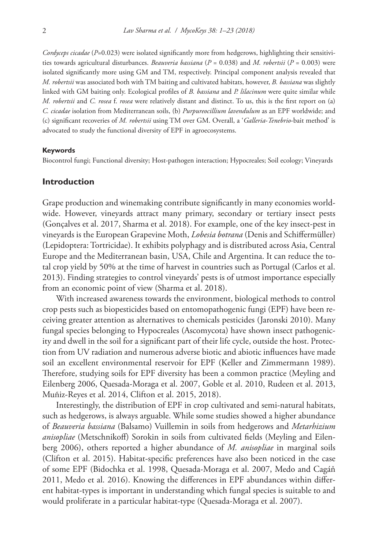*Cordyceps cicadae* (*P*=0.023) were isolated significantly more from hedgerows, highlighting their sensitivities towards agricultural disturbances. *Beauveria bassiana* (*P* = 0.038) and *M. robertsii* (*P* = 0.003) were isolated significantly more using GM and TM, respectively. Principal component analysis revealed that *M. robertsii* was associated both with TM baiting and cultivated habitats, however, *B. bassiana* was slightly linked with GM baiting only. Ecological profiles of *B. bassiana* and *P. lilacinum* were quite similar while *M. robertsii* and *C. rosea* f. *rosea* were relatively distant and distinct. To us, this is the first report on (a) *C. cicadae* isolation from Mediterranean soils, (b) *Purpureocillium lavendulum* as an EPF worldwide; and (c) significant recoveries of *M. robertsii* using TM over GM. Overall, a '*Galleria*-*Tenebrio*-bait method' is advocated to study the functional diversity of EPF in agroecosystems.

#### **Keywords**

Biocontrol fungi; Functional diversity; Host-pathogen interaction; Hypocreales; Soil ecology; Vineyards

### **Introduction**

Grape production and winemaking contribute significantly in many economies worldwide. However, vineyards attract many primary, secondary or tertiary insect pests (Gonçalves et al. 2017, Sharma et al. 2018). For example, one of the key insect-pest in vineyards is the European Grapevine Moth, *Lobesia botrana* (Denis and Schiffermüller) (Lepidoptera: Tortricidae). It exhibits polyphagy and is distributed across Asia, Central Europe and the Mediterranean basin, USA, Chile and Argentina. It can reduce the total crop yield by 50% at the time of harvest in countries such as Portugal (Carlos et al. 2013). Finding strategies to control vineyards' pests is of utmost importance especially from an economic point of view (Sharma et al. 2018).

With increased awareness towards the environment, biological methods to control crop pests such as biopesticides based on entomopathogenic fungi (EPF) have been receiving greater attention as alternatives to chemicals pesticides (Jaronski 2010). Many fungal species belonging to Hypocreales (Ascomycota) have shown insect pathogenicity and dwell in the soil for a significant part of their life cycle, outside the host. Protection from UV radiation and numerous adverse biotic and abiotic influences have made soil an excellent environmental reservoir for EPF (Keller and Zimmermann 1989). Therefore, studying soils for EPF diversity has been a common practice (Meyling and Eilenberg 2006, Quesada-Moraga et al. 2007, Goble et al. 2010, Rudeen et al. 2013, Muñiz-Reyes et al. 2014, Clifton et al. 2015, 2018).

Interestingly, the distribution of EPF in crop cultivated and semi-natural habitats, such as hedgerows, is always arguable. While some studies showed a higher abundance of *Beauveria bassiana* (Balsamo) Vuillemin in soils from hedgerows and *Metarhizium anisopliae* (Metschnikoff) Sorokin in soils from cultivated fields (Meyling and Eilenberg 2006), others reported a higher abundance of *M. anisopliae* in marginal soils (Clifton et al. 2015). Habitat-specific preferences have also been noticed in the case of some EPF (Bidochka et al. 1998, Quesada-Moraga et al. 2007, Medo and Cagáň 2011, Medo et al. 2016). Knowing the differences in EPF abundances within different habitat-types is important in understanding which fungal species is suitable to and would proliferate in a particular habitat-type (Quesada-Moraga et al. 2007).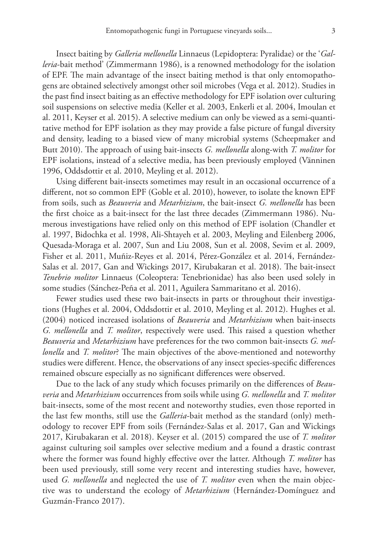Insect baiting by *Galleria mellonella* Linnaeus (Lepidoptera: Pyralidae) or the '*Galleria*-bait method' (Zimmermann 1986), is a renowned methodology for the isolation of EPF. The main advantage of the insect baiting method is that only entomopathogens are obtained selectively amongst other soil microbes (Vega et al. 2012). Studies in the past find insect baiting as an effective methodology for EPF isolation over culturing soil suspensions on selective media (Keller et al. 2003, Enkerli et al. 2004, Imoulan et al. 2011, Keyser et al. 2015). A selective medium can only be viewed as a semi-quantitative method for EPF isolation as they may provide a false picture of fungal diversity and density, leading to a biased view of many microbial systems (Scheepmaker and Butt 2010). The approach of using bait-insects *G. mellonella* along-with *T. molitor* for EPF isolations, instead of a selective media, has been previously employed (Vänninen 1996, Oddsdottir et al. 2010, Meyling et al. 2012).

Using different bait-insects sometimes may result in an occasional occurrence of a different, not so common EPF (Goble et al. 2010), however, to isolate the known EPF from soils, such as *Beauveria* and *Metarhizium*, the bait-insect *G. mellonella* has been the first choice as a bait-insect for the last three decades (Zimmermann 1986). Numerous investigations have relied only on this method of EPF isolation (Chandler et al. 1997, Bidochka et al. 1998, Ali-Shtayeh et al. 2003, Meyling and Eilenberg 2006, Quesada-Moraga et al. 2007, Sun and Liu 2008, Sun et al. 2008, Sevim et al. 2009, Fisher et al. 2011, Muñiz-Reyes et al. 2014, Pérez-González et al. 2014, Fernández-Salas et al. 2017, Gan and Wickings 2017, Kirubakaran et al. 2018). The bait-insect *Tenebrio molitor* Linnaeus (Coleoptera: Tenebrionidae) has also been used solely in some studies (Sánchez-Peña et al. 2011, Aguilera Sammaritano et al. 2016).

Fewer studies used these two bait-insects in parts or throughout their investigations (Hughes et al. 2004, Oddsdottir et al. 2010, Meyling et al. 2012). Hughes et al. (2004) noticed increased isolations of *Beauveria* and *Metarhizium* when bait-insects *G. mellonella* and *T. molitor*, respectively were used. This raised a question whether *Beauveria* and *Metarhizium* have preferences for the two common bait-insects *G. mellonella* and *T. molitor*? The main objectives of the above-mentioned and noteworthy studies were different. Hence, the observations of any insect species-specific differences remained obscure especially as no significant differences were observed.

Due to the lack of any study which focuses primarily on the differences of *Beauveria* and *Metarhizium* occurrences from soils while using *G. mellonella* and *T. molitor* bait-insects, some of the most recent and noteworthy studies, even those reported in the last few months, still use the *Galleria*-bait method as the standard (only) methodology to recover EPF from soils (Fernández-Salas et al. 2017, Gan and Wickings 2017, Kirubakaran et al. 2018). Keyser et al. (2015) compared the use of *T. molitor* against culturing soil samples over selective medium and a found a drastic contrast where the former was found highly effective over the latter. Although *T. molitor* has been used previously, still some very recent and interesting studies have, however, used *G. mellonella* and neglected the use of *T. molitor* even when the main objective was to understand the ecology of *Metarhizium* (Hernández-Domínguez and Guzmán-Franco 2017).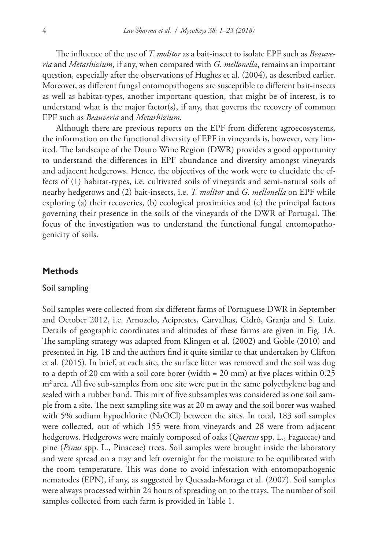The influence of the use of *T. molitor* as a bait-insect to isolate EPF such as *Beauveria* and *Metarhizium*, if any, when compared with *G. mellonella*, remains an important question, especially after the observations of Hughes et al. (2004), as described earlier. Moreover, as different fungal entomopathogens are susceptible to different bait-insects as well as habitat-types, another important question, that might be of interest, is to understand what is the major factor(s), if any, that governs the recovery of common EPF such as *Beauveria* and *Metarhizium*.

Although there are previous reports on the EPF from different agroecosystems, the information on the functional diversity of EPF in vineyards is, however, very limited. The landscape of the Douro Wine Region (DWR) provides a good opportunity to understand the differences in EPF abundance and diversity amongst vineyards and adjacent hedgerows. Hence, the objectives of the work were to elucidate the effects of (1) habitat-types, i.e. cultivated soils of vineyards and semi-natural soils of nearby hedgerows and (2) bait-insects, i.e. *T. molitor* and *G. mellonella* on EPF while exploring (a) their recoveries, (b) ecological proximities and (c) the principal factors governing their presence in the soils of the vineyards of the DWR of Portugal. The focus of the investigation was to understand the functional fungal entomopathogenicity of soils.

#### **Methods**

#### Soil sampling

Soil samples were collected from six different farms of Portuguese DWR in September and October 2012, i.e. Arnozelo, Aciprestes, Carvalhas, Cidrô, Granja and S. Luiz. Details of geographic coordinates and altitudes of these farms are given in Fig. 1A. The sampling strategy was adapted from Klingen et al. (2002) and Goble (2010) and presented in Fig. 1B and the authors find it quite similar to that undertaken by Clifton et al. (2015). In brief, at each site, the surface litter was removed and the soil was dug to a depth of 20 cm with a soil core borer (width = 20 mm) at five places within 0.25 m<sup>2</sup> area. All five sub-samples from one site were put in the same polyethylene bag and sealed with a rubber band. This mix of five subsamples was considered as one soil sample from a site. The next sampling site was at 20 m away and the soil borer was washed with 5% sodium hypochlorite (NaOCl) between the sites. In total, 183 soil samples were collected, out of which 155 were from vineyards and 28 were from adjacent hedgerows. Hedgerows were mainly composed of oaks (*Quercus* spp. L., Fagaceae) and pine (*Pinus* spp. L., Pinaceae) trees. Soil samples were brought inside the laboratory and were spread on a tray and left overnight for the moisture to be equilibrated with the room temperature. This was done to avoid infestation with entomopathogenic nematodes (EPN), if any, as suggested by Quesada-Moraga et al. (2007). Soil samples were always processed within 24 hours of spreading on to the trays. The number of soil samples collected from each farm is provided in Table 1.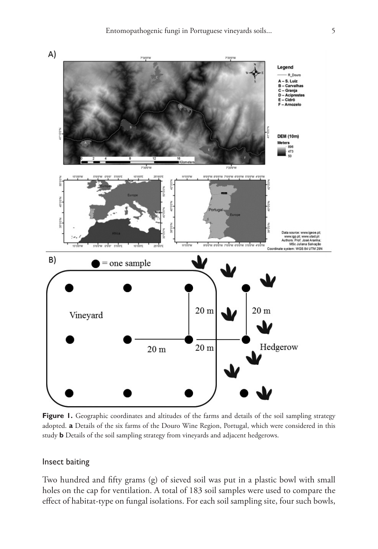

Figure 1. Geographic coordinates and altitudes of the farms and details of the soil sampling strategy adopted. **a** Details of the six farms of the Douro Wine Region, Portugal, which were considered in this study **b** Details of the soil sampling strategy from vineyards and adjacent hedgerows.

# Insect baiting

Two hundred and fifty grams (g) of sieved soil was put in a plastic bowl with small holes on the cap for ventilation. A total of 183 soil samples were used to compare the effect of habitat-type on fungal isolations. For each soil sampling site, four such bowls,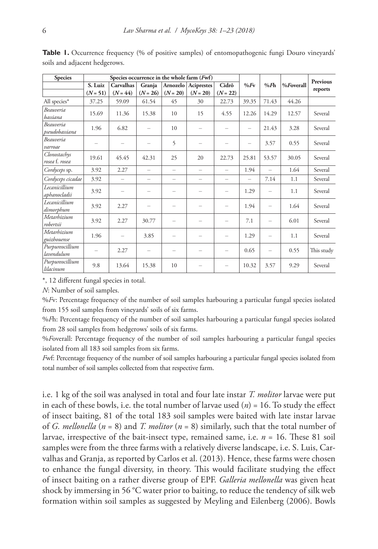| <b>Species</b>                     |            | Species occurrence in the whole farm (Fwf) |                          |                          |                          |            |                 |                          |              |                 |
|------------------------------------|------------|--------------------------------------------|--------------------------|--------------------------|--------------------------|------------|-----------------|--------------------------|--------------|-----------------|
|                                    | S. Luiz    | Carvalhas                                  | Granja                   |                          | Arnozelo Aciprestes      | Cidrô      | $%F_{V}$        | %Fh                      | $%$ Foverall | <b>Previous</b> |
|                                    | $(N = 51)$ | $(N = 44)$                                 | $(N = 26)$               | $(N = 20)$               | $(N = 20)$               | $(N = 22)$ |                 |                          |              | reports         |
| All species*                       | 37.25      | 59.09                                      | 61.54                    | 45                       | 30                       | 22.73      | 39.35           | 71.43                    | 44.26        |                 |
| <b>Beauveria</b><br>bassiana       | 15.69      | 11.36                                      | 15.38                    | 10                       | 15                       | 4.55       | 12.26           | 14.29                    | 12.57        | Several         |
| <b>Beauveria</b><br>pseudobassiana | 1.96       | 6.82                                       |                          | 10                       | $\overline{\phantom{0}}$ |            |                 | 21.43                    | 3.28         | Several         |
| Beauveria<br>varroae               |            | -                                          | $\equiv$                 | 5                        | $\overline{\phantom{0}}$ | -          | $\qquad \qquad$ | 3.57                     | 0.55         | Several         |
| Clonostachys<br>rosea f. rosea     | 19.61      | 45.45                                      | 42.31                    | 25                       | 20                       | 22.73      | 25.81           | 53.57                    | 30.05        | Several         |
| Cordyceps sp.                      | 3.92       | 2.27                                       | ÷.                       | $\overline{\phantom{m}}$ | $\overline{\phantom{0}}$ | $\equiv$   | 1.94            | $\overline{\phantom{0}}$ | 1.64         | Several         |
| Cordyceps cicadae                  | 3.92       | $\overline{\phantom{0}}$                   | $\overline{\phantom{0}}$ | $\overline{\phantom{m}}$ | $\overline{\phantom{0}}$ | $\equiv$   | $\equiv$        | 7.14                     | 1.1          | Several         |
| Lecanicillium<br>aphanocladii      | 3.92       | $\overline{\phantom{0}}$                   | -                        | $\overline{\phantom{0}}$ | -                        | -          | 1.29            | $\overline{\phantom{0}}$ | 1.1          | Several         |
| Lecanicillium<br>dimorphum         | 3.92       | 2.27                                       |                          | $\overline{\phantom{0}}$ | $\overline{\phantom{0}}$ |            | 1.94            |                          | 1.64         | Several         |
| Metarhizium<br>robertsii           | 3.92       | 2.27                                       | 30.77                    | $\overline{\phantom{m}}$ | $\overline{\phantom{0}}$ |            | 7.1             | $\overline{\phantom{m}}$ | 6.01         | Several         |
| Metarhizium<br>guizhouense         | 1.96       |                                            | 3.85                     |                          | $\overline{\phantom{0}}$ |            | 1.29            |                          | 1.1          | Several         |
| Purpureocillium<br>lavendulum      |            | 2.27                                       | $\overline{\phantom{0}}$ | $\overline{\phantom{0}}$ | -                        | -          | 0.65            | $\overline{\phantom{m}}$ | 0.55         | This study      |
| Purpureocillium<br>lilacinum       | 9.8        | 13.64                                      | 15.38                    | 10                       | -                        |            | 10.32           | 3.57                     | 9.29         | Several         |

**Table 1.** Occurrence frequency (% of positive samples) of entomopathogenic fungi Douro vineyards' soils and adjacent hedgerows.

\*, 12 different fungal species in total.

*N*: Number of soil samples.

%*F*v: Percentage frequency of the number of soil samples harbouring a particular fungal species isolated from 155 soil samples from vineyards' soils of six farms.

%*F*h: Percentage frequency of the number of soil samples harbouring a particular fungal species isolated from 28 soil samples from hedgerows' soils of six farms.

%*F*overall: Percentage frequency of the number of soil samples harbouring a particular fungal species isolated from all 183 soil samples from six farms.

*F*wf: Percentage frequency of the number of soil samples harbouring a particular fungal species isolated from total number of soil samples collected from that respective farm.

i.e. 1 kg of the soil was analysed in total and four late instar *T. molitor* larvae were put in each of these bowls, i.e. the total number of larvae used  $(n) = 16$ . To study the effect of insect baiting, 81 of the total 183 soil samples were baited with late instar larvae of *G. mellonella* (*n* = 8) and *T. molitor* (*n* = 8) similarly, such that the total number of larvae, irrespective of the bait-insect type, remained same, i.e. *n* = 16. These 81 soil samples were from the three farms with a relatively diverse landscape, i.e. S. Luis, Carvalhas and Granja, as reported by Carlos et al. (2013). Hence, these farms were chosen to enhance the fungal diversity, in theory. This would facilitate studying the effect of insect baiting on a rather diverse group of EPF. *Galleria mellonella* was given heat shock by immersing in 56 °C water prior to baiting, to reduce the tendency of silk web formation within soil samples as suggested by Meyling and Eilenberg (2006). Bowls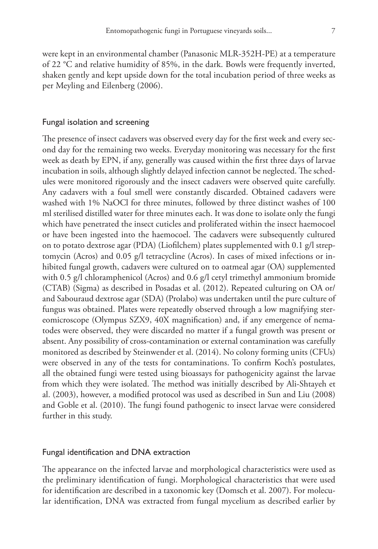were kept in an environmental chamber (Panasonic MLR-352H-PE) at a temperature of 22 °C and relative humidity of 85%, in the dark. Bowls were frequently inverted, shaken gently and kept upside down for the total incubation period of three weeks as per Meyling and Eilenberg (2006).

#### Fungal isolation and screening

The presence of insect cadavers was observed every day for the first week and every second day for the remaining two weeks. Everyday monitoring was necessary for the first week as death by EPN, if any, generally was caused within the first three days of larvae incubation in soils, although slightly delayed infection cannot be neglected. The schedules were monitored rigorously and the insect cadavers were observed quite carefully. Any cadavers with a foul smell were constantly discarded. Obtained cadavers were washed with 1% NaOCl for three minutes, followed by three distinct washes of 100 ml sterilised distilled water for three minutes each. It was done to isolate only the fungi which have penetrated the insect cuticles and proliferated within the insect haemocoel or have been ingested into the haemocoel. The cadavers were subsequently cultured on to potato dextrose agar (PDA) (Liofilchem) plates supplemented with 0.1 g/l streptomycin (Acros) and 0.05 g/l tetracycline (Acros). In cases of mixed infections or inhibited fungal growth, cadavers were cultured on to oatmeal agar (OA) supplemented with 0.5 g/l chloramphenicol (Acros) and 0.6 g/l cetyl trimethyl ammonium bromide (CTAB) (Sigma) as described in Posadas et al. (2012). Repeated culturing on OA or/ and Sabouraud dextrose agar (SDA) (Prolabo) was undertaken until the pure culture of fungus was obtained. Plates were repeatedly observed through a low magnifying stereomicroscope (Olympus SZX9, 40X magnification) and, if any emergence of nematodes were observed, they were discarded no matter if a fungal growth was present or absent. Any possibility of cross-contamination or external contamination was carefully monitored as described by Steinwender et al. (2014). No colony forming units (CFUs) were observed in any of the tests for contaminations. To confirm Koch's postulates, all the obtained fungi were tested using bioassays for pathogenicity against the larvae from which they were isolated. The method was initially described by Ali-Shtayeh et al. (2003), however, a modified protocol was used as described in Sun and Liu (2008) and Goble et al. (2010). The fungi found pathogenic to insect larvae were considered further in this study.

#### Fungal identification and DNA extraction

The appearance on the infected larvae and morphological characteristics were used as the preliminary identification of fungi. Morphological characteristics that were used for identification are described in a taxonomic key (Domsch et al. 2007). For molecular identification, DNA was extracted from fungal mycelium as described earlier by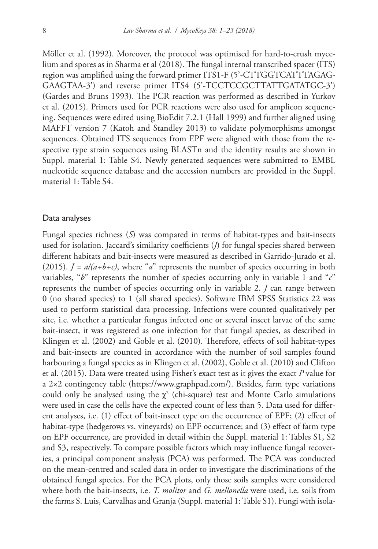Möller et al. (1992). Moreover, the protocol was optimised for hard-to-crush mycelium and spores as in Sharma et al (2018). The fungal internal transcribed spacer (ITS) region was amplified using the forward primer ITS1-F (5'-CTTGGTCATTTAGAG-GAAGTAA-3') and reverse primer ITS4 (5'-TCCTCCGCTTATTGATATGC-3') (Gardes and Bruns 1993). The PCR reaction was performed as described in Yurkov et al. (2015). Primers used for PCR reactions were also used for amplicon sequencing. Sequences were edited using BioEdit 7.2.1 (Hall 1999) and further aligned using MAFFT version 7 (Katoh and Standley 2013) to validate polymorphisms amongst sequences. Obtained ITS sequences from EPF were aligned with those from the respective type strain sequences using BLASTn and the identity results are shown in Suppl. material 1: Table S4. Newly generated sequences were submitted to EMBL nucleotide sequence database and the accession numbers are provided in the Suppl. material 1: Table S4.

#### Data analyses

Fungal species richness (*S*) was compared in terms of habitat-types and bait-insects used for isolation. Jaccard's similarity coefficients (*J*) for fungal species shared between different habitats and bait-insects were measured as described in Garrido-Jurado et al. (2015).  $J = a/(a+b+c)$ , where "*a*" represents the number of species occurring in both variables, "*b*" represents the number of species occurring only in variable 1 and "*c*" represents the number of species occurring only in variable 2. *J* can range between 0 (no shared species) to 1 (all shared species). Software IBM SPSS Statistics 22 was used to perform statistical data processing. Infections were counted qualitatively per site, i.e. whether a particular fungus infected one or several insect larvae of the same bait-insect, it was registered as one infection for that fungal species, as described in Klingen et al. (2002) and Goble et al. (2010). Therefore, effects of soil habitat-types and bait-insects are counted in accordance with the number of soil samples found harbouring a fungal species as in Klingen et al. (2002), Goble et al. (2010) and Clifton et al. (2015). Data were treated using Fisher's exact test as it gives the exact *P* value for a 2×2 contingency table ([https://www.graphpad.com/\)](https://www.graphpad.com/). Besides, farm type variations could only be analysed using the  $\chi^2$  (chi-square) test and Monte Carlo simulations were used in case the cells have the expected count of less than 5. Data used for different analyses, i.e. (1) effect of bait-insect type on the occurrence of EPF; (2) effect of habitat-type (hedgerows vs. vineyards) on EPF occurrence; and (3) effect of farm type on EPF occurrence, are provided in detail within the Suppl. material 1: Tables S1, S2 and S3, respectively. To compare possible factors which may influence fungal recoveries, a principal component analysis (PCA) was performed. The PCA was conducted on the mean-centred and scaled data in order to investigate the discriminations of the obtained fungal species. For the PCA plots, only those soils samples were considered where both the bait-insects, i.e. *T. molitor* and *G. mellonella* were used, i.e. soils from the farms S. Luis, Carvalhas and Granja (Suppl. material 1: Table S1). Fungi with isola-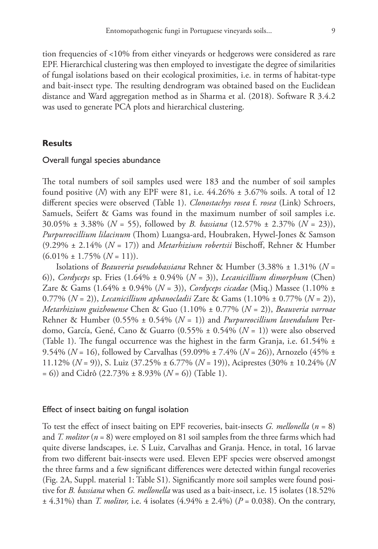tion frequencies of <10% from either vineyards or hedgerows were considered as rare EPF. Hierarchical clustering was then employed to investigate the degree of similarities of fungal isolations based on their ecological proximities, i.e. in terms of habitat-type and bait-insect type. The resulting dendrogram was obtained based on the Euclidean distance and Ward aggregation method as in Sharma et al. (2018). Software R 3.4.2 was used to generate PCA plots and hierarchical clustering.

# **Results**

### Overall fungal species abundance

The total numbers of soil samples used were 183 and the number of soil samples found positive (*N*) with any EPF were 81, i.e.  $44.26\% \pm 3.67\%$  soils. A total of 12 different species were observed (Table 1). *Clonostachys rosea* f. *rosea* (Link) Schroers, Samuels, Seifert & Gams was found in the maximum number of soil samples i.e. 30.05% ± 3.38% (*N* = 55), followed by *B. bassiana* (12.57% ± 2.37% (*N* = 23)), *Purpureocillium lilacinum* (Thom) Luangsa-ard, Houbraken, Hywel-Jones & Samson (9.29% ± 2.14% (*N* = 17)) and *Metarhizium robertsii* Bischoff, Rehner & Humber  $(6.01\% \pm 1.75\%$   $(N = 11))$ .

Isolations of *Beauveria pseudobassiana* Rehner & Humber (3.38% ± 1.31% (*N* = 6)), *Cordyceps* sp. Fries (1.64% ± 0.94% (*N* = 3)), *Lecanicillium dimorphum* (Chen) Zare & Gams (1.64% ± 0.94% (*N* = 3)), *Cordyceps cicadae* (Miq.) Massee (1.10% ± 0.77% (*N* = 2)), *Lecanicillium aphanocladii* Zare & Gams (1.10% ± 0.77% (*N* = 2)), *Metarhizium guizhouense* Chen & Guo (1.10% ± 0.77% (*N* = 2)), *Beauveria varroae* Rehner & Humber (0.55% ± 0.54% (*N* = 1)) and *Purpureocillium lavendulum* Perdomo, García, Gené, Cano & Guarro (0.55% ± 0.54% (*N* = 1)) were also observed (Table 1). The fungal occurrence was the highest in the farm Granja, i.e.  $61.54\% \pm$ 9.54% (*N* = 16), followed by Carvalhas (59.09% ± 7.4% (*N* = 26)), Arnozelo (45% ± 11.12% (*N* = 9)), S. Luiz (37.25% ± 6.77% (*N* = 19)), Aciprestes (30% ± 10.24% (*N* = 6)) and Cidrô (22.73% ± 8.93% (*N* = 6)) (Table 1).

### Effect of insect baiting on fungal isolation

To test the effect of insect baiting on EPF recoveries, bait-insects *G. mellonella* (*n* = 8) and *T. molitor* (*n* = 8) were employed on 81 soil samples from the three farms which had quite diverse landscapes, i.e. S Luiz, Carvalhas and Granja. Hence, in total, 16 larvae from two different bait-insects were used. Eleven EPF species were observed amongst the three farms and a few significant differences were detected within fungal recoveries (Fig. 2A, Suppl. material 1: Table S1). Significantly more soil samples were found positive for *B. bassiana* when *G. mellonella* was used as a bait-insect, i.e. 15 isolates (18.52% ± 4.31%) than *T. molitor,* i.e. 4 isolates (4.94% ± 2.4%) (*P* = 0.038). On the contrary,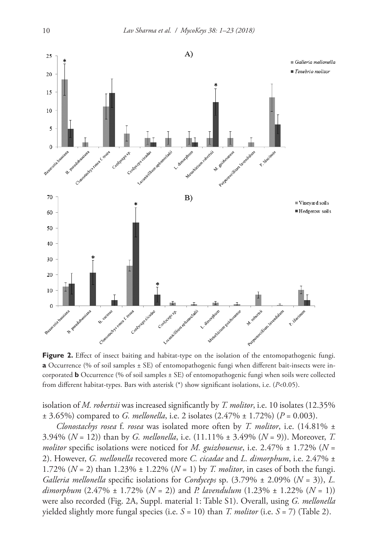

Figure 2. Effect of insect baiting and habitat-type on the isolation of the entomopathogenic fungi. **a** Occurrence (% of soil samples  $\pm$  SE) of entomopathogenic fungi when different bait-insects were incorporated **b** Occurrence (% of soil samples ± SE) of entomopathogenic fungi when soils were collected from different habitat-types. Bars with asterisk (\*) show significant isolations, i.e. (*P*<0.05).

isolation of *M. robertsii* was increased significantly by *T. molitor*, i.e. 10 isolates (12.35%  $\pm$  3.65%) compared to *G. mellonella*, i.e. 2 isolates  $(2.47\% \pm 1.72\%)$  ( $P = 0.003$ ).

*Clonostachys rosea* f. *rosea* was isolated more often by *T. molitor*, i.e. (14.81% ± 3.94% (*N* = 12)) than by *G. mellonella*, i.e. (11.11% ± 3.49% (*N* = 9)). Moreover, *T. molitor* specific isolations were noticed for *M. guizhouense*, i.e. 2.47% ± 1.72% (*N* = 2). However, *G. mellonella* recovered more *C. cicadae* and *L. dimorphum*, i.e. 2.47% ± 1.72% (*N* = 2) than 1.23% ± 1.22% (*N* = 1) by *T. molitor*, in cases of both the fungi. *Galleria mellonella* specific isolations for *Cordyceps* sp. (3.79% ± 2.09% (*N* = 3)), *L. dimorphum* (2.47% ± 1.72% (*N* = 2)) and *P. lavendulum* (1.23% ± 1.22% (*N* = 1)) were also recorded (Fig. 2A, Suppl. material 1: Table S1). Overall, using *G. mellonella* yielded slightly more fungal species (i.e. *S* = 10) than *T. molitor* (i.e. *S* = 7) (Table 2).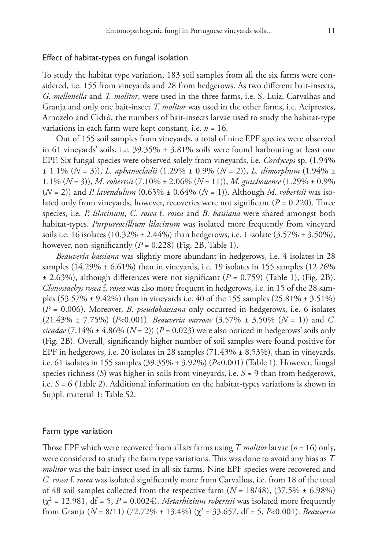### Effect of habitat-types on fungal isolation

To study the habitat type variation, 183 soil samples from all the six farms were considered, i.e. 155 from vineyards and 28 from hedgerows. As two different bait-insects, *G. mellonella* and *T. molitor*, were used in the three farms, i.e. S. Luiz, Carvalhas and Granja and only one bait-insect *T. molitor* was used in the other farms, i.e. Aciprestes, Arnozelo and Cidrô, the numbers of bait-insects larvae used to study the habitat-type variations in each farm were kept constant, i.e. *n* = 16.

Out of 155 soil samples from vineyards, a total of nine EPF species were observed in 61 vineyards' soils, i.e. 39.35% ± 3.81% soils were found harbouring at least one EPF. Six fungal species were observed solely from vineyards, i.e. *Cordyceps* sp. (1.94% ± 1.1% (*N* = 3)), *L. aphanocladii* (1.29% ± 0.9% (*N* = 2)), *L. dimorphum* (1.94% ± 1.1% (*N* = 3)), *M. robertsii* (7.10% ± 2.06% (*N* = 11)), *M. guizhouense* (1.29% ± 0.9% (*N* = 2)) and *P. lavendulum* (0.65% ± 0.64% (*N* = 1)). Although *M. robertsii* was isolated only from vineyards, however, recoveries were not significant ( $P = 0.220$ ). Three species, i.e. *P. lilacinum*, *C. rosea* f. *rosea* and *B. bassiana* were shared amongst both habitat-types. *Purpureocillium lilacinum* was isolated more frequently from vineyard soils i.e. 16 isolates  $(10.32\% \pm 2.44\%)$  than hedgerows, i.e. 1 isolate  $(3.57\% \pm 3.50\%)$ , however, non-significantly  $(P = 0.228)$  (Fig. 2B, Table 1).

*Beauveria bassiana* was slightly more abundant in hedgerows, i.e. 4 isolates in 28 samples  $(14.29\% \pm 6.61\%)$  than in vineyards, i.e. 19 isolates in 155 samples  $(12.26\%)$  $\pm$  2.63%), although differences were not significant ( $P = 0.759$ ) (Table 1), (Fig. 2B). *Clonostachys rosea* f. *rosea* was also more frequent in hedgerows, i.e. in 15 of the 28 samples  $(53.57\% \pm 9.42\%)$  than in vineyards i.e. 40 of the 155 samples  $(25.81\% \pm 3.51\%)$ (*P* = 0.006). Moreover, *B. pseudobassiana* only occurred in hedgerows, i.e. 6 isolates (21.43% ± 7.75%) (*P*<0.001). *Beauveria varroae* (3.57% ± 3.50% (*N* = 1)) and *C. cicadae* (7.14%  $\pm$  4.86% ( $N = 2$ )) ( $P = 0.023$ ) were also noticed in hedgerows' soils only (Fig. 2B). Overall, significantly higher number of soil samples were found positive for EPF in hedgerows, i.e. 20 isolates in 28 samples  $(71.43\% \pm 8.53\%)$ , than in vineyards, i.e. 61 isolates in 155 samples (39.35% ± 3.92%) (*P*<0.001) (Table 1). However, fungal species richness (*S*) was higher in soils from vineyards, i.e. *S* = 9 than from hedgerows, i.e.  $S = 6$  (Table 2). Additional information on the habitat-types variations is shown in Suppl. material 1: Table S2.

# Farm type variation

Those EPF which were recovered from all six farms using *T. molitor* larvae (*n* = 16) only, were considered to study the farm type variations. This was done to avoid any bias as *T. molitor* was the bait-insect used in all six farms. Nine EPF species were recovered and *C. rosea* f. *rosea* was isolated significantly more from Carvalhas, i.e. from 18 of the total of 48 soil samples collected from the respective farm  $(N = 18/48)$ ,  $(37.5\% \pm 6.98\%)$  $(\chi^2 = 12.981, df = 5, P = 0.0024)$ . *Metarhizium robertsii* was isolated more frequently from Granja (*N* = 8/11) (72.72% ± 13.4%) (χ<sup>2</sup> = 33.657, df = 5, *P*<0.001). *Beauveria*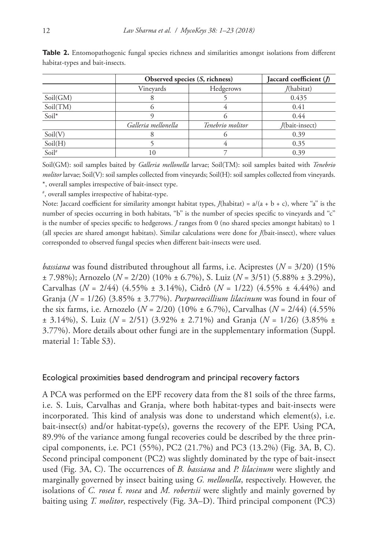|          |                     | Observed species (S, richness) | Jaccard coefficient (/) |  |  |
|----------|---------------------|--------------------------------|-------------------------|--|--|
|          | Vinevards           | Hedgerows                      | /(habitat)              |  |  |
| Soil(GM) | ⌒                   |                                | 0.435                   |  |  |
| Soil(TM) |                     |                                | 0.41                    |  |  |
| Soil*    |                     |                                | 0.44                    |  |  |
|          | Galleria mellonella | Tenebrio molitor               | /(bait-insect)          |  |  |
| Soil(V)  |                     |                                | 0.39                    |  |  |
| Soil(H)  |                     |                                | 0.35                    |  |  |
| Soil#    | 10                  |                                | 0.39                    |  |  |

**Table 2.** Entomopathogenic fungal species richness and similarities amongst isolations from different habitat-types and bait-insects.

Soil(GM): soil samples baited by *Galleria mellonella* larvae; Soil(TM): soil samples baited with *Tenebrio molitor* larvae; Soil(V): soil samples collected from vineyards; Soil(H): soil samples collected from vineyards. \*, overall samples irrespective of bait-insect type.

# , overall samples irrespective of habitat-type.

Note: Jaccard coefficient for similarity amongst habitat types,  $J(habitat) = a/(a + b + c)$ , where "a" is the number of species occurring in both habitats, "b" is the number of species specific to vineyards and "c" is the number of species specific to hedgerows. *J* ranges from 0 (no shared species amongst habitats) to 1 (all species are shared amongst habitats). Similar calculations were done for *J*(bait-insect), where values corresponded to observed fungal species when different bait-insects were used.

*bassiana* was found distributed throughout all farms, i.e. Aciprestes (*N* = 3/20) (15% ± 7.98%); Arnozelo (*N* = 2/20) (10% ± 6.7%), S. Luiz (*N* = 3/51) (5.88% ± 3.29%), Carvalhas  $(N = 2/44)$  (4.55%  $\pm$  3.14%), Cidrô  $(N = 1/22)$  (4.55%  $\pm$  4.44%) and Granja (*N* = 1/26) (3.85% ± 3.77%). *Purpureocillium lilacinum* was found in four of the six farms, i.e. Arnozelo (*N* = 2/20) (10% ± 6.7%), Carvalhas (*N* = 2/44) (4.55% ± 3.14%), S. Luiz (*N* = 2/51) (3.92% ± 2.71%) and Granja (*N* = 1/26) (3.85% ± 3.77%). More details about other fungi are in the supplementary information (Suppl. material 1: Table S3).

#### Ecological proximities based dendrogram and principal recovery factors

A PCA was performed on the EPF recovery data from the 81 soils of the three farms, i.e. S. Luis, Carvalhas and Granja, where both habitat-types and bait-insects were incorporated. This kind of analysis was done to understand which element(s), i.e. bait-insect(s) and/or habitat-type(s), governs the recovery of the EPF. Using PCA, 89.9% of the variance among fungal recoveries could be described by the three principal components, i.e. PC1 (55%), PC2 (21.7%) and PC3 (13.2%) (Fig. 3A, B, C). Second principal component (PC2) was slightly dominated by the type of bait-insect used (Fig. 3A, C). The occurrences of *B. bassiana* and *P. lilacinum* were slightly and marginally governed by insect baiting using *G. mellonella*, respectively. However, the isolations of *C. rosea* f. *rosea* and *M. robertsii* were slightly and mainly governed by baiting using *T. molitor*, respectively (Fig. 3A–D). Third principal component (PC3)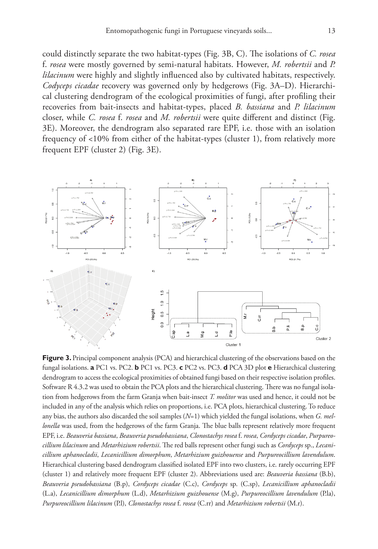could distinctly separate the two habitat-types (Fig. 3B, C). The isolations of *C. rosea*  f. *rosea* were mostly governed by semi-natural habitats. However, *M. robertsii* and *P. lilacinum* were highly and slightly influenced also by cultivated habitats, respectively. *Codyceps cicadae* recovery was governed only by hedgerows (Fig. 3A–D). Hierarchical clustering dendrogram of the ecological proximities of fungi, after profiling their recoveries from bait-insects and habitat-types, placed *B. bassiana* and *P. lilacinum* closer, while *C. rosea* f. *rosea* and *M. robertsii* were quite different and distinct (Fig. 3E). Moreover, the dendrogram also separated rare EPF, i.e. those with an isolation frequency of <10% from either of the habitat-types (cluster 1), from relatively more frequent EPF (cluster 2) (Fig. 3E).



**Figure 3.** Principal component analysis (PCA) and hierarchical clustering of the observations based on the fungal isolations. **a** PC1 vs. PC2. **b** PC1 vs. PC3. **c** PC2 vs. PC3. **d** PCA 3D plot **e** Hierarchical clustering dendrogram to access the ecological proximities of obtained fungi based on their respective isolation profiles. Software R 4.3.2 was used to obtain the PCA plots and the hierarchical clustering. There was no fungal isolation from hedgerows from the farm Granja when bait-insect *T. molitor* was used and hence, it could not be included in any of the analysis which relies on proportions, i.e. PCA plots, hierarchical clustering. To reduce any bias, the authors also discarded the soil samples (*N*=1) which yielded the fungal isolations, when *G. mellonella* was used, from the hedgerows of the farm Granja. The blue balls represent relatively more frequent EPF, i.e. *Beauveria bassiana*, *Beauveria pseudobassiana*, *Clonostachys rosea* f. *rosea*, *Cordyceps cicadae*, *Purpureocillium lilacinum* and *Metarhizium robertsii*. The red balls represent other fungi such as *Cordyceps* sp., *Lecanicillium aphanocladii*, *Lecanicillium dimorphum*, *Metarhizium guizhouense* and *Purpureocillium lavendulum*. Hierarchical clustering based dendrogram classified isolated EPF into two clusters, i.e. rarely occurring EPF (cluster 1) and relatively more frequent EPF (cluster 2). Abbreviations used are: *Beauveria bassiana* (B.b), *Beauveria pseudobassiana* (B.p), *Cordyceps cicadae* (C.c), *Cordyceps* sp. (C.sp), *Lecanicillium aphanocladii*  (L.a), *Lecanicillium dimorphum* (L.d), *Metarhizium guizhouense* (M.g), *Purpureocillium lavendulum* (P.la), *Purpureocillium lilacinum* (P.l), *Clonostachys rosea* f. *rosea* (C.rr) and *Metarhizium robertsii* (M.r).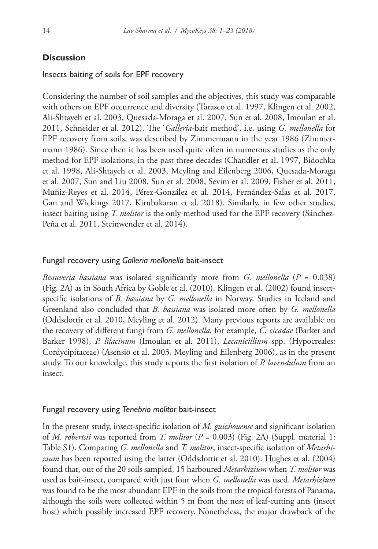# **Discussion**

### Insects baiting of soils for EPF recovery

Considering the number of soil samples and the objectives, this study was comparable with others on EPF occurrence and diversity (Tarasco et al. 1997, Klingen et al. 2002, Ali-Shtayeh et al. 2003, Quesada-Moraga et al. 2007, Sun et al. 2008, Imoulan et al. 2011, Schneider et al. 2012). The '*Galleria*-bait method', i.e. using *G. mellonella* for EPF recovery from soils, was described by Zimmermann in the year 1986 (Zimmermann 1986). Since then it has been used quite often in numerous studies as the only method for EPF isolations, in the past three decades (Chandler et al. 1997, Bidochka et al. 1998, Ali-Shtayeh et al. 2003, Meyling and Eilenberg 2006, Quesada-Moraga et al. 2007, Sun and Liu 2008, Sun et al. 2008, Sevim et al. 2009, Fisher et al. 2011, Muñiz-Reyes et al. 2014, Pérez-González et al. 2014, Fernández-Salas et al. 2017, Gan and Wickings 2017, Kirubakaran et al. 2018). Similarly, in few other studies, insect baiting using *T. molitor* is the only method used for the EPF recovery (Sánchez-Peña et al. 2011, Steinwender et al. 2014).

#### Fungal recovery using *Galleria mellonella* bait-insect

*Beauveria bassiana* was isolated significantly more from *G. mellonella* (*P* = 0.038) (Fig. 2A) as in South Africa by Goble et al. (2010). Klingen et al. (2002) found insectspecific isolations of *B. bassiana* by *G. mellonella* in Norway. Studies in Iceland and Greenland also concluded that *B. bassiana* was isolated more often by *G. mellonella* (Oddsdottir et al. 2010, Meyling et al. 2012). Many previous reports are available on the recovery of different fungi from *G. mellonella*, for example, *C. cicadae* (Barker and Barker 1998), *P. lilacinum* (Imoulan et al. 2011), *Lecanicillium* spp. (Hypocreales: Cordycipitaceae) (Asensio et al. 2003, Meyling and Eilenberg 2006), as in the present study. To our knowledge, this study reports the first isolation of *P. lavendulum* from an insect.

#### Fungal recovery using *Tenebrio molitor* bait-insect

In the present study, insect-specific isolation of *M. guizhouense* and significant isolation of *M. robertsii* was reported from *T. molitor* (*P* = 0.003) (Fig. 2A) (Suppl. material 1: Table S1). Comparing *G. mellonella* and *T. molitor*, insect-specific isolation of *Metarhizium* has been reported using the latter (Oddsdottir et al. 2010). Hughes et al. (2004) found that, out of the 20 soils sampled, 15 harboured *Metarhizium* when *T. molitor* was used as bait-insect, compared with just four when *G. mellonella* was used. *Metarhizium* was found to be the most abundant EPF in the soils from the tropical forests of Panama, although the soils were collected within 5 m from the nest of leaf-cutting ants (insect host) which possibly increased EPF recovery. Nonetheless, the major drawback of the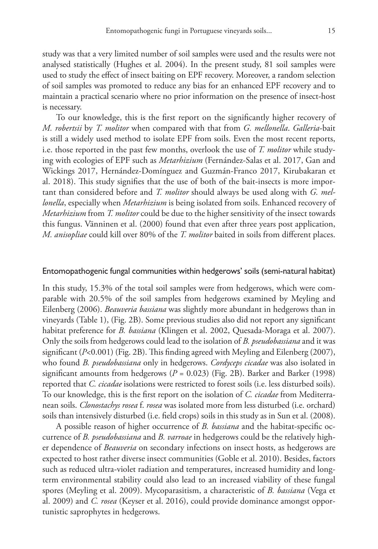study was that a very limited number of soil samples were used and the results were not analysed statistically (Hughes et al. 2004). In the present study, 81 soil samples were used to study the effect of insect baiting on EPF recovery. Moreover, a random selection of soil samples was promoted to reduce any bias for an enhanced EPF recovery and to maintain a practical scenario where no prior information on the presence of insect-host is necessary.

To our knowledge, this is the first report on the significantly higher recovery of *M. robertsii* by *T. molitor* when compared with that from *G. mellonella*. *Galleria*-bait is still a widely used method to isolate EPF from soils. Even the most recent reports, i.e. those reported in the past few months, overlook the use of *T. molitor* while studying with ecologies of EPF such as *Metarhizium* (Fernández-Salas et al. 2017, Gan and Wickings 2017, Hernández-Domínguez and Guzmán-Franco 2017, Kirubakaran et al. 2018). This study signifies that the use of both of the bait-insects is more important than considered before and *T. molitor* should always be used along with *G. mellonella*, especially when *Metarhizium* is being isolated from soils. Enhanced recovery of *Metarhizium* from *T. molitor* could be due to the higher sensitivity of the insect towards this fungus. Vänninen et al. (2000) found that even after three years post application, *M. anisopliae* could kill over 80% of the *T. molitor* baited in soils from different places.

#### Entomopathogenic fungal communities within hedgerows' soils (semi-natural habitat)

In this study, 15.3% of the total soil samples were from hedgerows, which were comparable with 20.5% of the soil samples from hedgerows examined by Meyling and Eilenberg (2006). *Beauveria bassiana* was slightly more abundant in hedgerows than in vineyards (Table 1), (Fig. 2B). Some previous studies also did not report any significant habitat preference for *B. bassiana* (Klingen et al. 2002, Quesada-Moraga et al. 2007). Only the soils from hedgerows could lead to the isolation of *B. pseudobassiana* and it was significant (*P*<0.001) (Fig. 2B). This finding agreed with Meyling and Eilenberg (2007), who found *B. pseudobassiana* only in hedgerows. *Cordyceps cicadae* was also isolated in significant amounts from hedgerows (*P* = 0.023) (Fig. 2B). Barker and Barker (1998) reported that *C. cicadae* isolations were restricted to forest soils (i.e. less disturbed soils). To our knowledge, this is the first report on the isolation of *C. cicadae* from Mediterranean soils. *Clonostachys rosea* f. *rosea* was isolated more from less disturbed (i.e. orchard) soils than intensively disturbed (i.e. field crops) soils in this study as in Sun et al. (2008).

A possible reason of higher occurrence of *B. bassiana* and the habitat-specific occurrence of *B. pseudobassiana* and *B. varroae* in hedgerows could be the relatively higher dependence of *Beauveria* on secondary infections on insect hosts, as hedgerows are expected to host rather diverse insect communities (Goble et al. 2010). Besides, factors such as reduced ultra-violet radiation and temperatures, increased humidity and longterm environmental stability could also lead to an increased viability of these fungal spores (Meyling et al. 2009). Mycoparasitism, a characteristic of *B. bassiana* (Vega et al. 2009) and *C. rosea* (Keyser et al. 2016), could provide dominance amongst opportunistic saprophytes in hedgerows.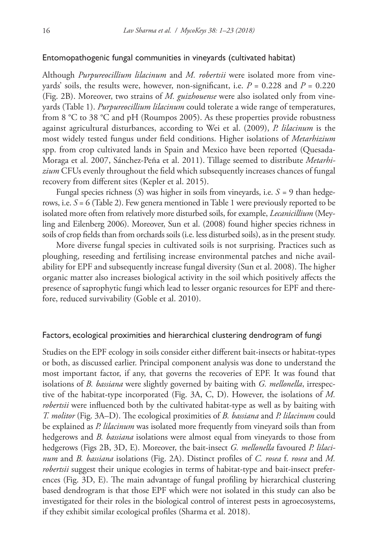### Entomopathogenic fungal communities in vineyards (cultivated habitat)

Although *Purpureocillium lilacinum* and *M. robertsii* were isolated more from vineyards' soils, the results were, however, non-significant, i.e.  $P = 0.228$  and  $P = 0.220$ (Fig. 2B). Moreover, two strains of *M. guizhouense* were also isolated only from vineyards (Table 1). *Purpureocillium lilacinum* could tolerate a wide range of temperatures, from 8 °C to 38 °C and pH (Roumpos 2005). As these properties provide robustness against agricultural disturbances, according to Wei et al. (2009), *P. lilacinum* is the most widely tested fungus under field conditions. Higher isolations of *Metarhizium* spp. from crop cultivated lands in Spain and Mexico have been reported (Quesada-Moraga et al. 2007, Sánchez-Peña et al. 2011). Tillage seemed to distribute *Metarhizium* CFUs evenly throughout the field which subsequently increases chances of fungal recovery from different sites (Kepler et al. 2015).

Fungal species richness (*S*) was higher in soils from vineyards, i.e. *S =* 9 than hedgerows, i.e. *S* = 6 (Table 2). Few genera mentioned in Table 1 were previously reported to be isolated more often from relatively more disturbed soils, for example, *Lecanicillium* (Meyling and Eilenberg 2006). Moreover, Sun et al. (2008) found higher species richness in soils of crop fields than from orchards soils (i.e. less disturbed soils), as in the present study.

More diverse fungal species in cultivated soils is not surprising. Practices such as ploughing, reseeding and fertilising increase environmental patches and niche availability for EPF and subsequently increase fungal diversity (Sun et al. 2008). The higher organic matter also increases biological activity in the soil which positively affects the presence of saprophytic fungi which lead to lesser organic resources for EPF and therefore, reduced survivability (Goble et al. 2010).

#### Factors, ecological proximities and hierarchical clustering dendrogram of fungi

Studies on the EPF ecology in soils consider either different bait-insects or habitat-types or both, as discussed earlier. Principal component analysis was done to understand the most important factor, if any, that governs the recoveries of EPF. It was found that isolations of *B. bassiana* were slightly governed by baiting with *G. mellonella*, irrespective of the habitat-type incorporated (Fig. 3A, C, D). However, the isolations of *M. robertsii* were influenced both by the cultivated habitat-type as well as by baiting with *T. molitor* (Fig. 3A–D). The ecological proximities of *B. bassiana* and *P. lilacinum* could be explained as *P. lilacinum* was isolated more frequently from vineyard soils than from hedgerows and *B. bassiana* isolations were almost equal from vineyards to those from hedgerows (Figs 2B, 3D, E). Moreover, the bait-insect *G. mellonella* favoured *P. lilacinum* and *B. bassiana* isolations (Fig. 2A). Distinct profiles of *C. rosea* f. *rosea* and *M. robertsii* suggest their unique ecologies in terms of habitat-type and bait-insect preferences (Fig. 3D, E). The main advantage of fungal profiling by hierarchical clustering based dendrogram is that those EPF which were not isolated in this study can also be investigated for their roles in the biological control of interest pests in agroecosystems, if they exhibit similar ecological profiles (Sharma et al. 2018).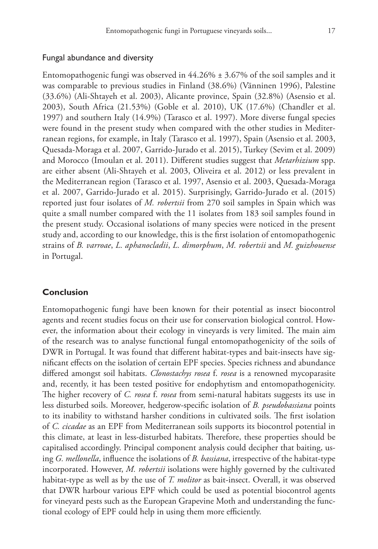#### Fungal abundance and diversity

Entomopathogenic fungi was observed in  $44.26\% \pm 3.67\%$  of the soil samples and it was comparable to previous studies in Finland (38.6%) (Vänninen 1996), Palestine (33.6%) (Ali-Shtayeh et al. 2003), Alicante province, Spain (32.8%) (Asensio et al. 2003), South Africa (21.53%) (Goble et al. 2010), UK (17.6%) (Chandler et al. 1997) and southern Italy (14.9%) (Tarasco et al. 1997). More diverse fungal species were found in the present study when compared with the other studies in Mediterranean regions, for example, in Italy (Tarasco et al. 1997), Spain (Asensio et al. 2003, Quesada-Moraga et al. 2007, Garrido-Jurado et al. 2015), Turkey (Sevim et al. 2009) and Morocco (Imoulan et al. 2011). Different studies suggest that *Metarhizium* spp. are either absent (Ali-Shtayeh et al. 2003, Oliveira et al. 2012) or less prevalent in the Mediterranean region (Tarasco et al. 1997, Asensio et al. 2003, Quesada-Moraga et al. 2007, Garrido-Jurado et al. 2015). Surprisingly, Garrido-Jurado et al. (2015) reported just four isolates of *M. robertsii* from 270 soil samples in Spain which was quite a small number compared with the 11 isolates from 183 soil samples found in the present study. Occasional isolations of many species were noticed in the present study and, according to our knowledge, this is the first isolation of entomopathogenic strains of *B. varroae*, *L. aphanocladii*, *L. dimorphum*, *M. robertsii* and *M. guizhouense* in Portugal.

# **Conclusion**

Entomopathogenic fungi have been known for their potential as insect biocontrol agents and recent studies focus on their use for conservation biological control. However, the information about their ecology in vineyards is very limited. The main aim of the research was to analyse functional fungal entomopathogenicity of the soils of DWR in Portugal. It was found that different habitat-types and bait-insects have significant effects on the isolation of certain EPF species. Species richness and abundance differed amongst soil habitats. *Clonostachys rosea* f. *rosea* is a renowned mycoparasite and, recently, it has been tested positive for endophytism and entomopathogenicity. The higher recovery of *C. rosea* f. *rosea* from semi-natural habitats suggests its use in less disturbed soils. Moreover, hedgerow-specific isolation of *B. pseudobassiana* points to its inability to withstand harsher conditions in cultivated soils. The first isolation of *C. cicadae* as an EPF from Mediterranean soils supports its biocontrol potential in this climate, at least in less-disturbed habitats. Therefore, these properties should be capitalised accordingly. Principal component analysis could decipher that baiting, using *G. mellonella*, influence the isolations of *B. bassiana*, irrespective of the habitat-type incorporated. However, *M. robertsii* isolations were highly governed by the cultivated habitat-type as well as by the use of *T. molitor* as bait-insect. Overall, it was observed that DWR harbour various EPF which could be used as potential biocontrol agents for vineyard pests such as the European Grapevine Moth and understanding the functional ecology of EPF could help in using them more efficiently.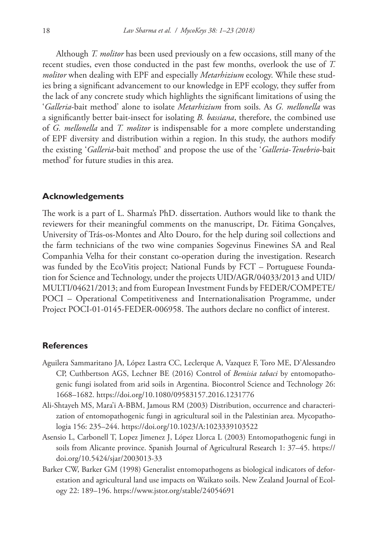Although *T. molitor* has been used previously on a few occasions, still many of the recent studies, even those conducted in the past few months, overlook the use of *T. molitor* when dealing with EPF and especially *Metarhizium* ecology. While these studies bring a significant advancement to our knowledge in EPF ecology, they suffer from the lack of any concrete study which highlights the significant limitations of using the '*Galleria*-bait method' alone to isolate *Metarhizium* from soils. As *G. mellonella* was a significantly better bait-insect for isolating *B. bassiana*, therefore, the combined use of *G. mellonella* and *T. molitor* is indispensable for a more complete understanding of EPF diversity and distribution within a region. In this study, the authors modify the existing '*Galleria*-bait method' and propose the use of the '*Galleria*-*Tenebrio*-bait method' for future studies in this area.

#### **Acknowledgements**

The work is a part of L. Sharma's PhD. dissertation. Authors would like to thank the reviewers for their meaningful comments on the manuscript, Dr. Fátima Gonçalves, University of Trás-os-Montes and Alto Douro, for the help during soil collections and the farm technicians of the two wine companies Sogevinus Finewines SA and Real Companhia Velha for their constant co-operation during the investigation. Research was funded by the EcoVitis project; National Funds by FCT – Portuguese Foundation for Science and Technology, under the projects UID/AGR/04033/2013 and UID/ MULTI/04621/2013; and from European Investment Funds by FEDER/COMPETE/ POCI – Operational Competitiveness and Internationalisation Programme, under Project POCI-01-0145-FEDER-006958. The authors declare no conflict of interest.

#### **References**

- Aguilera Sammaritano JA, López Lastra CC, Leclerque A, Vazquez F, Toro ME, D'Alessandro CP, Cuthbertson AGS, Lechner BE (2016) Control of *Bemisia tabaci* by entomopathogenic fungi isolated from arid soils in Argentina. Biocontrol Science and Technology 26: 1668–1682.<https://doi.org/10.1080/09583157.2016.1231776>
- Ali-Shtayeh MS, Mara'i A-BBM, Jamous RM (2003) Distribution, occurrence and characterization of entomopathogenic fungi in agricultural soil in the Palestinian area. Mycopathologia 156: 235–244.<https://doi.org/10.1023/A:1023339103522>
- Asensio L, Carbonell T, Lopez Jimenez J, López Llorca L (2003) Entomopathogenic fungi in soils from Alicante province. Spanish Journal of Agricultural Research 1: 37–45. [https://](https://doi.org/10.5424/sjar/2003013-33) [doi.org/10.5424/sjar/2003013-33](https://doi.org/10.5424/sjar/2003013-33)
- Barker CW, Barker GM (1998) Generalist entomopathogens as biological indicators of deforestation and agricultural land use impacts on Waikato soils. New Zealand Journal of Ecology 22: 189–196. <https://www.jstor.org/stable/24054691>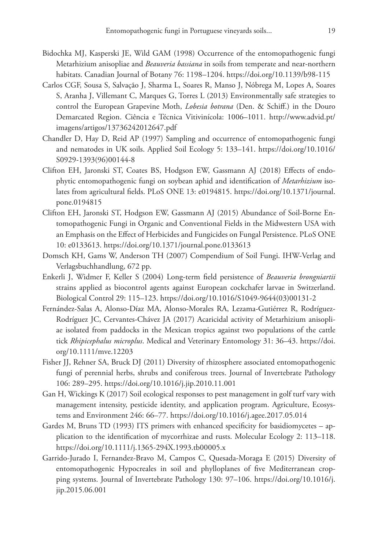- Bidochka MJ, Kasperski JE, Wild GAM (1998) Occurrence of the entomopathogenic fungi Metarhizium anisopliae and *Beauveria bassiana* in soils from temperate and near-northern habitats. Canadian Journal of Botany 76: 1198–1204.<https://doi.org/10.1139/b98-115>
- Carlos CGF, Sousa S, Salvação J, Sharma L, Soares R, Manso J, Nóbrega M, Lopes A, Soares S, Aranha J, Villemant C, Marques G, Torres L (2013) Environmentally safe strategies to control the European Grapevine Moth, *Lobesia botrana* (Den. & Schiff.) in the Douro Demarcated Region. Ciência e Técnica Vitivinícola: 1006–1011. [http://www.advid.pt/](http://www.advid.pt/imagens/artigos/13736242012647.pdf) [imagens/artigos/13736242012647.pdf](http://www.advid.pt/imagens/artigos/13736242012647.pdf)
- Chandler D, Hay D, Reid AP (1997) Sampling and occurrence of entomopathogenic fungi and nematodes in UK soils. Applied Soil Ecology 5: 133–141. [https://doi.org/10.1016/](https://doi.org/10.1016/S0929-1393(96)00144-8) [S0929-1393\(96\)00144-8](https://doi.org/10.1016/S0929-1393(96)00144-8)
- Clifton EH, Jaronski ST, Coates BS, Hodgson EW, Gassmann AJ (2018) Effects of endophytic entomopathogenic fungi on soybean aphid and identification of *Metarhizium* isolates from agricultural fields. PLoS ONE 13: e0194815. [https://doi.org/10.1371/journal.](https://doi.org/10.1371/journal.pone.0194815) [pone.0194815](https://doi.org/10.1371/journal.pone.0194815)
- Clifton EH, Jaronski ST, Hodgson EW, Gassmann AJ (2015) Abundance of Soil-Borne Entomopathogenic Fungi in Organic and Conventional Fields in the Midwestern USA with an Emphasis on the Effect of Herbicides and Fungicides on Fungal Persistence. PLoS ONE 10: e0133613.<https://doi.org/10.1371/journal.pone.0133613>
- Domsch KH, Gams W, Anderson TH (2007) Compendium of Soil Fungi. IHW-Verlag and Verlagsbuchhandlung, 672 pp.
- Enkerli J, Widmer F, Keller S (2004) Long-term field persistence of *Beauveria brongniartii* strains applied as biocontrol agents against European cockchafer larvae in Switzerland. Biological Control 29: 115–123. [https://doi.org/10.1016/S1049-9644\(03\)00131-2](https://doi.org/10.1016/S1049-9644(03)00131-2)
- Fernández-Salas A, Alonso-Díaz MA, Alonso-Morales RA, Lezama-Gutiérrez R, Rodríguez-Rodríguez JC, Cervantes-Chávez JA (2017) Acaricidal activity of Metarhizium anisopliae isolated from paddocks in the Mexican tropics against two populations of the cattle tick *Rhipicephalus microplus*. Medical and Veterinary Entomology 31: 36–43. [https://doi.](https://doi.org/10.1111/mve.12203) [org/10.1111/mve.12203](https://doi.org/10.1111/mve.12203)
- Fisher JJ, Rehner SA, Bruck DJ (2011) Diversity of rhizosphere associated entomopathogenic fungi of perennial herbs, shrubs and coniferous trees. Journal of Invertebrate Pathology 106: 289–295.<https://doi.org/10.1016/j.jip.2010.11.001>
- Gan H, Wickings K (2017) Soil ecological responses to pest management in golf turf vary with management intensity, pesticide identity, and application program. Agriculture, Ecosystems and Environment 246: 66–77. <https://doi.org/10.1016/j.agee.2017.05.014>
- Gardes M, Bruns TD (1993) ITS primers with enhanced specificity for basidiomycetes application to the identification of mycorrhizae and rusts. Molecular Ecology 2: 113–118. <https://doi.org/10.1111/j.1365-294X.1993.tb00005.x>
- Garrido-Jurado I, Fernandez-Bravo M, Campos C, Quesada-Moraga E (2015) Diversity of entomopathogenic Hypocreales in soil and phylloplanes of five Mediterranean cropping systems. Journal of Invertebrate Pathology 130: 97–106. [https://doi.org/10.1016/j.](https://doi.org/10.1016/j.jip.2015.06.001) [jip.2015.06.001](https://doi.org/10.1016/j.jip.2015.06.001)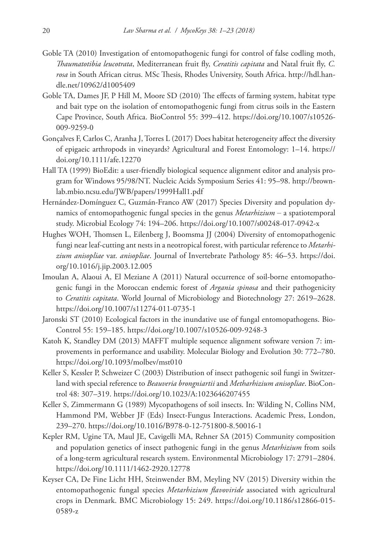- Goble TA (2010) Investigation of entomopathogenic fungi for control of false codling moth, *Thaumatotibia leucotrata*, Mediterranean fruit fly, *Ceratitis capitata* and Natal fruit fly, *C. rosa* in South African citrus. MSc Thesis, Rhodes University, South Africa. [http://hdl.han](http://hdl.handle.net/10962/d1005409)[dle.net/10962/d1005409](http://hdl.handle.net/10962/d1005409)
- Goble TA, Dames JF, P Hill M, Moore SD (2010) The effects of farming system, habitat type and bait type on the isolation of entomopathogenic fungi from citrus soils in the Eastern Cape Province, South Africa. BioControl 55: 399–412. [https://doi.org/10.1007/s10526-](https://doi.org/10.1007/s10526-009-9259-0) [009-9259-0](https://doi.org/10.1007/s10526-009-9259-0)
- Gonçalves F, Carlos C, Aranha J, Torres L (2017) Does habitat heterogeneity affect the diversity of epigaeic arthropods in vineyards? Agricultural and Forest Entomology: 1–14. [https://](https://doi.org/10.1111/afe.12270) [doi.org/10.1111/afe.12270](https://doi.org/10.1111/afe.12270)
- Hall TA (1999) BioEdit: a user-friendly biological sequence alignment editor and analysis program for Windows 95/98/NT. Nucleic Acids Symposium Series 41: 95–98. [http://brown](http://brownlab.mbio.ncsu.edu/JWB/papers/1999Hall1.pdf)[lab.mbio.ncsu.edu/JWB/papers/1999Hall1.pdf](http://brownlab.mbio.ncsu.edu/JWB/papers/1999Hall1.pdf)
- Hernández-Domínguez C, Guzmán-Franco AW (2017) Species Diversity and population dynamics of entomopathogenic fungal species in the genus *Metarhizium* – a spatiotemporal study. Microbial Ecology 74: 194–206.<https://doi.org/10.1007/s00248-017-0942-x>
- Hughes WOH, Thomsen L, Eilenberg J, Boomsma JJ (2004) Diversity of entomopathogenic fungi near leaf-cutting ant nests in a neotropical forest, with particular reference to *Metarhizium anisopliae* var. *anisopliae*. Journal of Invertebrate Pathology 85: 46–53. [https://doi.](https://doi.org/10.1016/j.jip.2003.12.005) [org/10.1016/j.jip.2003.12.005](https://doi.org/10.1016/j.jip.2003.12.005)
- Imoulan A, Alaoui A, El Meziane A (2011) Natural occurrence of soil-borne entomopathogenic fungi in the Moroccan endemic forest of *Argania spinosa* and their pathogenicity to *Ceratitis capitata*. World Journal of Microbiology and Biotechnology 27: 2619–2628. <https://doi.org/10.1007/s11274-011-0735-1>
- Jaronski ST (2010) Ecological factors in the inundative use of fungal entomopathogens. Bio-Control 55: 159–185. <https://doi.org/10.1007/s10526-009-9248-3>
- Katoh K, Standley DM (2013) MAFFT multiple sequence alignment software version 7: improvements in performance and usability. Molecular Biology and Evolution 30: 772–780. <https://doi.org/10.1093/molbev/mst010>
- Keller S, Kessler P, Schweizer C (2003) Distribution of insect pathogenic soil fungi in Switzerland with special reference to *Beauveria brongniartii* and *Metharhizium anisopliae*. BioControl 48: 307–319. <https://doi.org/10.1023/A:1023646207455>
- Keller S, Zimmermann G (1989) Mycopathogens of soil insects. In: Wilding N, Collins NM, Hammond PM, Webber JF (Eds) Insect-Fungus Interactions. Academic Press, London, 239–270.<https://doi.org/10.1016/B978-0-12-751800-8.50016-1>
- Kepler RM, Ugine TA, Maul JE, Cavigelli MA, Rehner SA (2015) Community composition and population genetics of insect pathogenic fungi in the genus *Metarhizium* from soils of a long-term agricultural research system. Environmental Microbiology 17: 2791–2804. <https://doi.org/10.1111/1462-2920.12778>
- Keyser CA, De Fine Licht HH, Steinwender BM, Meyling NV (2015) Diversity within the entomopathogenic fungal species *Metarhizium flavoviride* associated with agricultural crops in Denmark. BMC Microbiology 15: 249. [https://doi.org/10.1186/s12866-015-](https://doi.org/10.1186/s12866-015-0589-z) [0589-z](https://doi.org/10.1186/s12866-015-0589-z)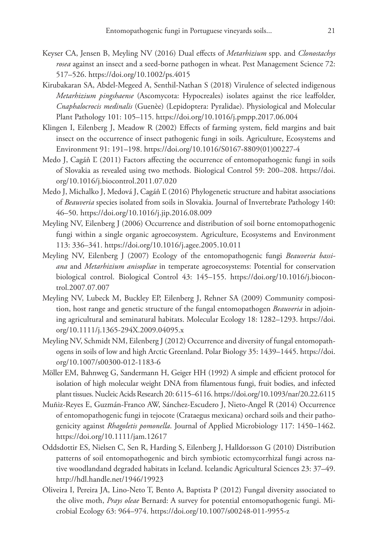- Keyser CA, Jensen B, Meyling NV (2016) Dual effects of *Metarhizium* spp. and *Clonostachys rosea* against an insect and a seed-borne pathogen in wheat. Pest Management Science 72: 517–526.<https://doi.org/10.1002/ps.4015>
- Kirubakaran SA, Abdel-Megeed A, Senthil-Nathan S (2018) Virulence of selected indigenous *Metarhizium pingshaense* (Ascomycota: Hypocreales) isolates against the rice leaffolder, *Cnaphalocrocis medinalis* (Guenèe) (Lepidoptera: Pyralidae). Physiological and Molecular Plant Pathology 101: 105–115.<https://doi.org/10.1016/j.pmpp.2017.06.004>
- Klingen I, Eilenberg J, Meadow R (2002) Effects of farming system, field margins and bait insect on the occurrence of insect pathogenic fungi in soils. Agriculture, Ecosystems and Environment 91: 191–198. [https://doi.org/10.1016/S0167-8809\(01\)00227-4](https://doi.org/10.1016/S0167-8809(01)00227-4)
- Medo J, Cagáň Ľ (2011) Factors affecting the occurrence of entomopathogenic fungi in soils of Slovakia as revealed using two methods. Biological Control 59: 200–208. [https://doi.](https://doi.org/10.1016/j.biocontrol.2011.07.020) [org/10.1016/j.biocontrol.2011.07.020](https://doi.org/10.1016/j.biocontrol.2011.07.020)
- Medo J, Michalko J, Medová J, Cagáň Ľ (2016) Phylogenetic structure and habitat associations of *Beauveria* species isolated from soils in Slovakia. Journal of Invertebrate Pathology 140: 46–50.<https://doi.org/10.1016/j.jip.2016.08.009>
- Meyling NV, Eilenberg J (2006) Occurrence and distribution of soil borne entomopathogenic fungi within a single organic agroecosystem. Agriculture, Ecosystems and Environment 113: 336–341.<https://doi.org/10.1016/j.agee.2005.10.011>
- Meyling NV, Eilenberg J (2007) Ecology of the entomopathogenic fungi *Beauveria bassiana* and *Metarhizium anisopliae* in temperate agroecosystems: Potential for conservation biological control. Biological Control 43: 145–155. [https://doi.org/10.1016/j.biocon](https://doi.org/10.1016/j.biocontrol.2007.07.007)[trol.2007.07.007](https://doi.org/10.1016/j.biocontrol.2007.07.007)
- Meyling NV, Lubeck M, Buckley EP, Eilenberg J, Rehner SA (2009) Community composition, host range and genetic structure of the fungal entomopathogen *Beauveria* in adjoining agricultural and seminatural habitats. Molecular Ecology 18: 1282–1293. [https://doi.](https://doi.org/10.1111/j.1365-294X.2009.04095.x) [org/10.1111/j.1365-294X.2009.04095.x](https://doi.org/10.1111/j.1365-294X.2009.04095.x)
- Meyling NV, Schmidt NM, Eilenberg J (2012) Occurrence and diversity of fungal entomopathogens in soils of low and high Arctic Greenland. Polar Biology 35: 1439–1445. [https://doi.](https://doi.org/10.1007/s00300-012-1183-6) [org/10.1007/s00300-012-1183-6](https://doi.org/10.1007/s00300-012-1183-6)
- Möller EM, Bahnweg G, Sandermann H, Geiger HH (1992) A simple and efficient protocol for isolation of high molecular weight DNA from filamentous fungi, fruit bodies, and infected plant tissues. Nucleic Acids Research 20: 6115–6116.<https://doi.org/10.1093/nar/20.22.6115>
- Muñiz-Reyes E, Guzmán-Franco AW, Sánchez-Escudero J, Nieto-Angel R (2014) Occurrence of entomopathogenic fungi in tejocote (Crataegus mexicana) orchard soils and their pathogenicity against *Rhagoletis pomonella*. Journal of Applied Microbiology 117: 1450–1462. <https://doi.org/10.1111/jam.12617>
- Oddsdottir ES, Nielsen C, Sen R, Harding S, Eilenberg J, Halldorsson G (2010) Distribution patterns of soil entomopathogenic and birch symbiotic ectomycorrhizal fungi across native woodlandand degraded habitats in Iceland. Icelandic Agricultural Sciences 23: 37–49. <http://hdl.handle.net/1946/19923>
- Oliveira I, Pereira JA, Lino-Neto T, Bento A, Baptista P (2012) Fungal diversity associated to the olive moth, *Prays oleae* Bernard: A survey for potential entomopathogenic fungi. Microbial Ecology 63: 964–974.<https://doi.org/10.1007/s00248-011-9955-z>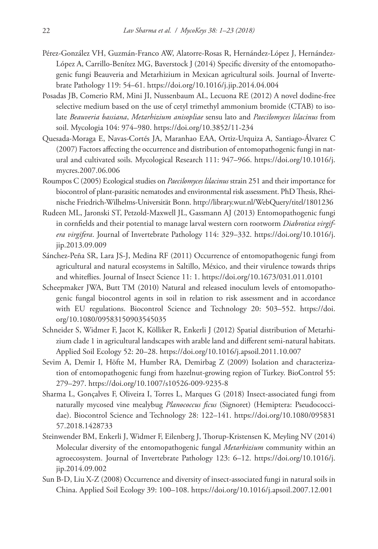- Pérez-González VH, Guzmán-Franco AW, Alatorre-Rosas R, Hernández-López J, Hernández-López A, Carrillo-Benítez MG, Baverstock J (2014) Specific diversity of the entomopathogenic fungi Beauveria and Metarhizium in Mexican agricultural soils. Journal of Invertebrate Pathology 119: 54–61.<https://doi.org/10.1016/j.jip.2014.04.004>
- Posadas JB, Comerio RM, Mini JI, Nussenbaum AL, Lecuona RE (2012) A novel dodine-free selective medium based on the use of cetyl trimethyl ammonium bromide (CTAB) to isolate *Beauveria bassiana*, *Metarhizium anisopliae* sensu lato and *Paecilomyces lilacinus* from soil. Mycologia 104: 974–980.<https://doi.org/10.3852/11-234>
- Quesada-Moraga E, Navas-Cortés JA, Maranhao EAA, Ortiz-Urquiza A, Santiago-Álvarez C (2007) Factors affecting the occurrence and distribution of entomopathogenic fungi in natural and cultivated soils. Mycological Research 111: 947–966. [https://doi.org/10.1016/j.](https://doi.org/10.1016/j.mycres.2007.06.006) [mycres.2007.06.006](https://doi.org/10.1016/j.mycres.2007.06.006)
- Roumpos C (2005) Ecological studies on *Paecilomyces lilacinus* strain 251 and their importance for biocontrol of plant-parasitic nematodes and environmental risk assessment. PhD Thesis, Rheinische Friedrich-Wilhelms-Universität Bonn.<http://library.wur.nl/WebQuery/titel/1801236>
- Rudeen ML, Jaronski ST, Petzold-Maxwell JL, Gassmann AJ (2013) Entomopathogenic fungi in cornfields and their potential to manage larval western corn rootworm *Diabrotica virgifera virgifera*. Journal of Invertebrate Pathology 114: 329–332. [https://doi.org/10.1016/j.](https://doi.org/10.1016/j.jip.2013.09.009) [jip.2013.09.009](https://doi.org/10.1016/j.jip.2013.09.009)
- Sánchez-Peña SR, Lara JS-J, Medina RF (2011) Occurrence of entomopathogenic fungi from agricultural and natural ecosystems in Saltillo, México, and their virulence towards thrips and whiteflies. Journal of Insect Science 11: 1.<https://doi.org/10.1673/031.011.0101>
- Scheepmaker JWA, Butt TM (2010) Natural and released inoculum levels of entomopathogenic fungal biocontrol agents in soil in relation to risk assessment and in accordance with EU regulations. Biocontrol Science and Technology 20: 503–552. [https://doi.](https://doi.org/10.1080/09583150903545035) [org/10.1080/09583150903545035](https://doi.org/10.1080/09583150903545035)
- Schneider S, Widmer F, Jacot K, Kölliker R, Enkerli J (2012) Spatial distribution of Metarhizium clade 1 in agricultural landscapes with arable land and different semi-natural habitats. Applied Soil Ecology 52: 20–28. <https://doi.org/10.1016/j.apsoil.2011.10.007>
- Sevim A, Demir I, Höfte M, Humber RA, Demirbag Z (2009) Isolation and characterization of entomopathogenic fungi from hazelnut-growing region of Turkey. BioControl 55: 279–297.<https://doi.org/10.1007/s10526-009-9235-8>
- Sharma L, Gonçalves F, Oliveira I, Torres L, Marques G (2018) Insect-associated fungi from naturally mycosed vine mealybug *Planococcus ficus* (Signoret) (Hemiptera: Pseudococcidae). Biocontrol Science and Technology 28: 122–141. [https://doi.org/10.1080/095831](https://doi.org/10.1080/09583157.2018.1428733) [57.2018.1428733](https://doi.org/10.1080/09583157.2018.1428733)
- Steinwender BM, Enkerli J, Widmer F, Eilenberg J, Thorup-Kristensen K, Meyling NV (2014) Molecular diversity of the entomopathogenic fungal *Metarhizium* community within an agroecosystem. Journal of Invertebrate Pathology 123: 6–12. [https://doi.org/10.1016/j.](https://doi.org/10.1016/j.jip.2014.09.002) [jip.2014.09.002](https://doi.org/10.1016/j.jip.2014.09.002)
- Sun B-D, Liu X-Z (2008) Occurrence and diversity of insect-associated fungi in natural soils in China. Applied Soil Ecology 39: 100–108. <https://doi.org/10.1016/j.apsoil.2007.12.001>